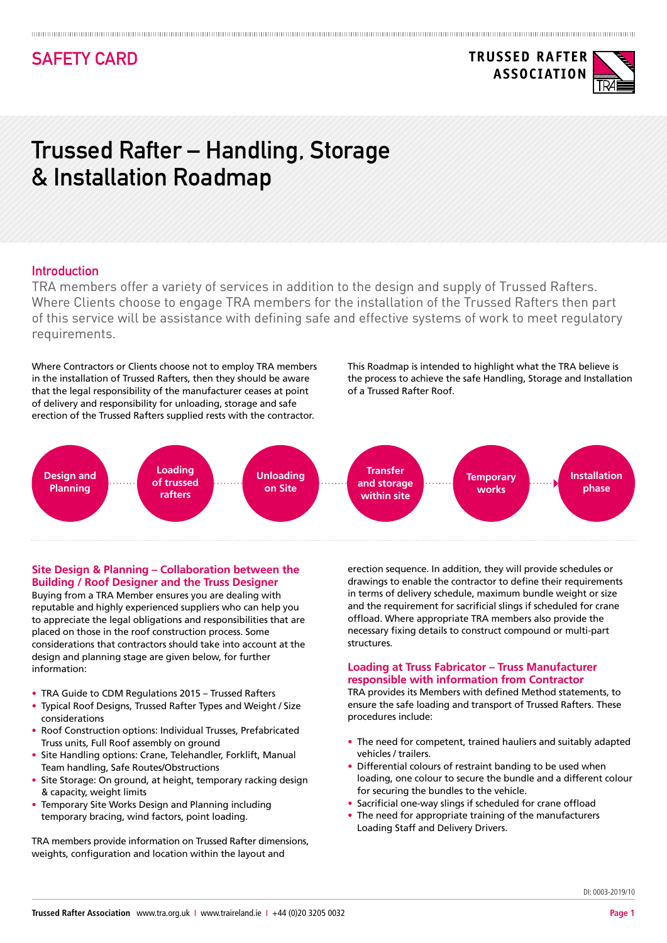## **SAFETY CARD**

# **Trussed Rafter – Handling, Storage & Installation Roadmap**

#### **Introduction**

TRA members offer a variety of services in addition to the design and supply of Trussed Rafters. Where Clients choose to engage TRA members for the installation of the Trussed Rafters then part of this service will be assistance with defining safe and effective systems of work to meet regulatory requirements.

Where Contractors or Clients choose not to employ TRA members in the installation of Trussed Rafters, then they should be aware that the legal responsibility of the manufacturer ceases at point of delivery and responsibility for unloading, storage and safe erection of the Trussed Rafters supplied rests with the contractor.

This Roadmap is intended to highlight what the TRA believe is the process to achieve the safe Handling, Storage and Installation of a Trussed Rafter Roof.



#### **Site Design & Planning – Collaboration between the Building / Roof Designer and the Truss Designer**

Buying from a TRA Member ensures you are dealing with reputable and highly experienced suppliers who can help you to appreciate the legal obligations and responsibilities that are placed on those in the roof construction process. Some considerations that contractors should take into account at the design and planning stage are given below, for further information:

- TRA Guide to CDM Regulations 2015 Trussed Rafters
- Typical Roof Designs, Trussed Rafter Types and Weight / Size considerations
- Roof Construction options: Individual Trusses, Prefabricated Truss units, Full Roof assembly on ground
- Site Handling options: Crane, Telehandler, Forklift, Manual Team handling, Safe Routes/Obstructions
- Site Storage: On ground, at height, temporary racking design & capacity, weight limits
- Temporary Site Works Design and Planning including temporary bracing, wind factors, point loading.

TRA members provide information on Trussed Rafter dimensions, weights, configuration and location within the layout and

erection sequence. In addition, they will provide schedules or drawings to enable the contractor to define their requirements in terms of delivery schedule, maximum bundle weight or size and the requirement for sacrificial slings if scheduled for crane offload. Where appropriate TRA members also provide the necessary fixing details to construct compound or multi-part structures.

#### **Loading at Truss Fabricator – Truss Manufacturer responsible with information from Contractor**

TRA provides its Members with defined Method statements, to ensure the safe loading and transport of Trussed Rafters. These procedures include:

- The need for competent, trained hauliers and suitably adapted vehicles / trailers.
- Differential colours of restraint banding to be used when loading, one colour to secure the bundle and a different colour for securing the bundles to the vehicle.
- Sacrificial one-way slings if scheduled for crane offload
- The need for appropriate training of the manufacturers Loading Staff and Delivery Drivers.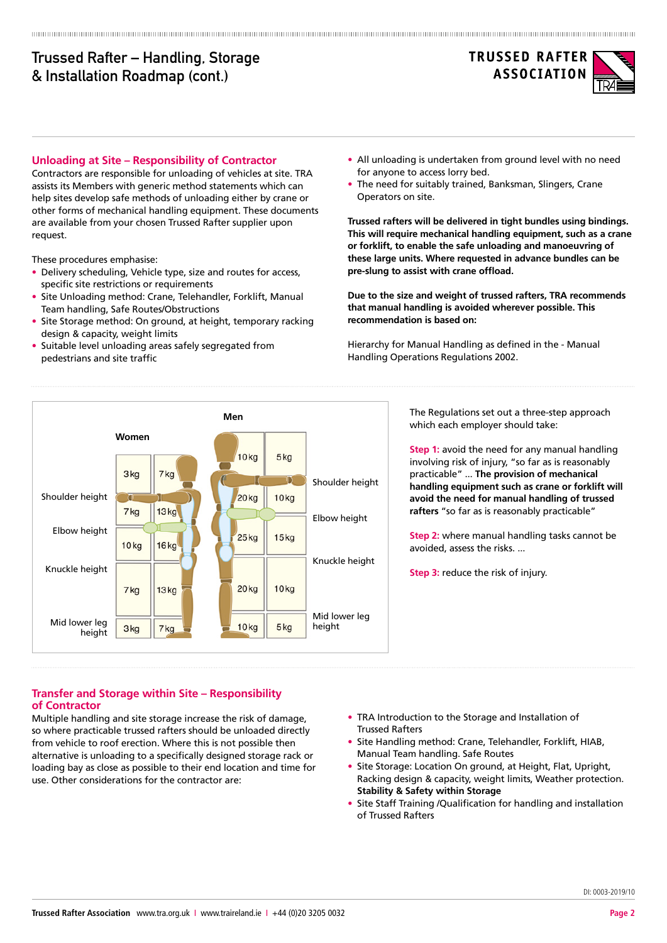## **Trussed Rafter – Handling, Storage & Installation Roadmap (cont.)**



#### **Unloading at Site – Responsibility of Contractor**

Contractors are responsible for unloading of vehicles at site. TRA assists its Members with generic method statements which can help sites develop safe methods of unloading either by crane or other forms of mechanical handling equipment. These documents are available from your chosen Trussed Rafter supplier upon request.

These procedures emphasise:

- Delivery scheduling, Vehicle type, size and routes for access, specific site restrictions or requirements
- Site Unloading method: Crane, Telehandler, Forklift, Manual Team handling, Safe Routes/Obstructions
- Site Storage method: On ground, at height, temporary racking design & capacity, weight limits
- Suitable level unloading areas safely segregated from pedestrians and site traffic
- All unloading is undertaken from ground level with no need for anyone to access lorry bed.
- The need for suitably trained, Banksman, Slingers, Crane Operators on site.

**Trussed rafters will be delivered in tight bundles using bindings. This will require mechanical handling equipment, such as a crane or forklift, to enable the safe unloading and manoeuvring of these large units. Where requested in advance bundles can be pre-slung to assist with crane offload.** 

**Due to the size and weight of trussed rafters, TRA recommends that manual handling is avoided wherever possible. This recommendation is based on:** 

Hierarchy for Manual Handling as defined in the - Manual Handling Operations Regulations 2002.



The Regulations set out a three-step approach which each employer should take:

**Step 1:** avoid the need for any manual handling involving risk of injury, "so far as is reasonably practicable" ... **The provision of mechanical handling equipment such as crane or forklift will avoid the need for manual handling of trussed rafters** "so far as is reasonably practicable"

**Step 2:** where manual handling tasks cannot be avoided, assess the risks. ...

**Step 3:** reduce the risk of injury.

**Transfer and Storage within Site – Responsibility of Contractor** 

Multiple handling and site storage increase the risk of damage, so where practicable trussed rafters should be unloaded directly from vehicle to roof erection. Where this is not possible then alternative is unloading to a specifically designed storage rack or loading bay as close as possible to their end location and time for use. Other considerations for the contractor are:

- TRA Introduction to the Storage and Installation of Trussed Rafters
- Site Handling method: Crane, Telehandler, Forklift, HIAB, Manual Team handling. Safe Routes
- Site Storage: Location On ground, at Height, Flat, Upright, Racking design & capacity, weight limits, Weather protection. **Stability & Safety within Storage**
- Site Staff Training /Qualification for handling and installation of Trussed Rafters